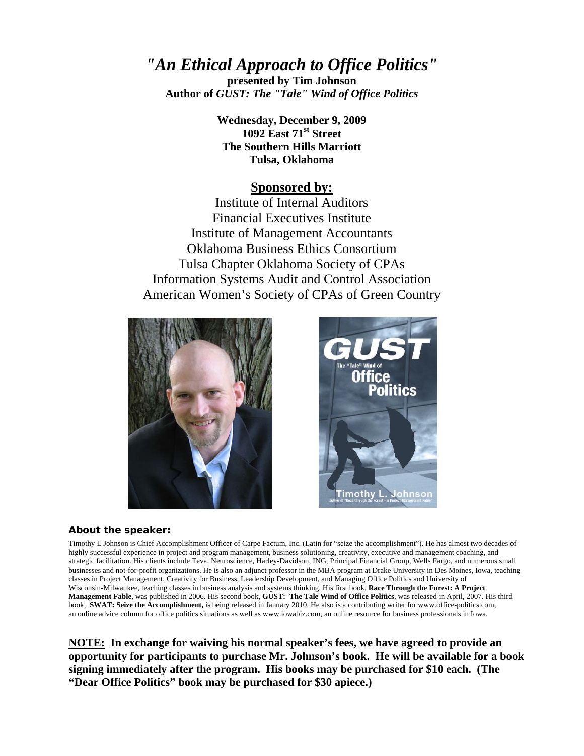## *"An Ethical Approach to Office Politics"*

**presented by Tim Johnson Author of** *GUST: The "Tale" Wind of Office Politics*

> **Wednesday, December 9, 2009 1092 East 71st Street The Southern Hills Marriott Tulsa, Oklahoma**

#### **Sponsored by:**

Institute of Internal Auditors Financial Executives Institute Institute of Management Accountants Oklahoma Business Ethics Consortium Tulsa Chapter Oklahoma Society of CPAs Information Systems Audit and Control Association American Women's Society of CPAs of Green Country





#### **About the speaker:**

Timothy L Johnson is Chief Accomplishment Officer of Carpe Factum, Inc. (Latin for "seize the accomplishment"). He has almost two decades of highly successful experience in project and program management, business solutioning, creativity, executive and management coaching, and strategic facilitation. His clients include Teva, Neuroscience, Harley-Davidson, ING, Principal Financial Group, Wells Fargo, and numerous small businesses and not-for-profit organizations. He is also an adjunct professor in the MBA program at Drake University in Des Moines, Iowa, teaching classes in Project Management, Creativity for Business, Leadership Development, and Managing Office Politics and University of Wisconsin-Milwaukee, teaching classes in business analysis and systems thinking. His first book, **Race Through the Forest: A Project Management Fable**, was published in 2006. His second book, **GUST: The Tale Wind of Office Politics**, was released in April, 2007. His third book, **SWAT: Seize the Accomplishment**, is being released in January 2010. He also is a contributing writer for www.office-politics.com, an online advice column for office politics situations as well as www.iowabiz.com, an online resource for business professionals in Iowa.

**NOTE: In exchange for waiving his normal speaker's fees, we have agreed to provide an opportunity for participants to purchase Mr. Johnson's book. He will be available for a book signing immediately after the program. His books may be purchased for \$10 each. (The "Dear Office Politics" book may be purchased for \$30 apiece.)**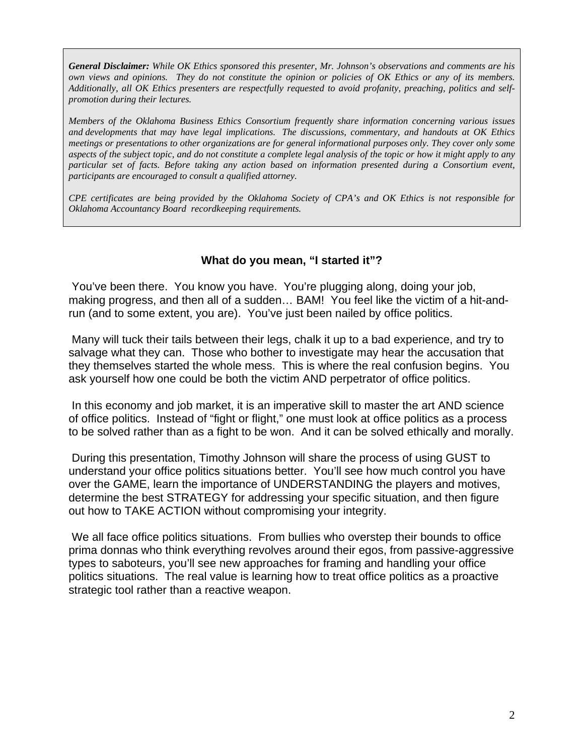*General Disclaimer: While OK Ethics sponsored this presenter, Mr. Johnson's observations and comments are his own views and opinions. They do not constitute the opinion or policies of OK Ethics or any of its members. Additionally, all OK Ethics presenters are respectfully requested to avoid profanity, preaching, politics and selfpromotion during their lectures.* 

*Members of the Oklahoma Business Ethics Consortium frequently share information concerning various issues and developments that may have legal implications. The discussions, commentary, and handouts at OK Ethics meetings or presentations to other organizations are for general informational purposes only. They cover only some aspects of the subject topic, and do not constitute a complete legal analysis of the topic or how it might apply to any particular set of facts. Before taking any action based on information presented during a Consortium event, participants are encouraged to consult a qualified attorney.* 

*CPE certificates are being provided by the Oklahoma Society of CPA's and OK Ethics is not responsible for Oklahoma Accountancy Board recordkeeping requirements.* 

### **What do you mean, "I started it"?**

 You've been there. You know you have. You're plugging along, doing your job, making progress, and then all of a sudden… BAM! You feel like the victim of a hit-andrun (and to some extent, you are). You've just been nailed by office politics.

 Many will tuck their tails between their legs, chalk it up to a bad experience, and try to salvage what they can. Those who bother to investigate may hear the accusation that they themselves started the whole mess. This is where the real confusion begins. You ask yourself how one could be both the victim AND perpetrator of office politics.

 In this economy and job market, it is an imperative skill to master the art AND science of office politics. Instead of "fight or flight," one must look at office politics as a process to be solved rather than as a fight to be won. And it can be solved ethically and morally.

 During this presentation, Timothy Johnson will share the process of using GUST to understand your office politics situations better. You'll see how much control you have over the GAME, learn the importance of UNDERSTANDING the players and motives, determine the best STRATEGY for addressing your specific situation, and then figure out how to TAKE ACTION without compromising your integrity.

 We all face office politics situations. From bullies who overstep their bounds to office prima donnas who think everything revolves around their egos, from passive-aggressive types to saboteurs, you'll see new approaches for framing and handling your office politics situations. The real value is learning how to treat office politics as a proactive strategic tool rather than a reactive weapon.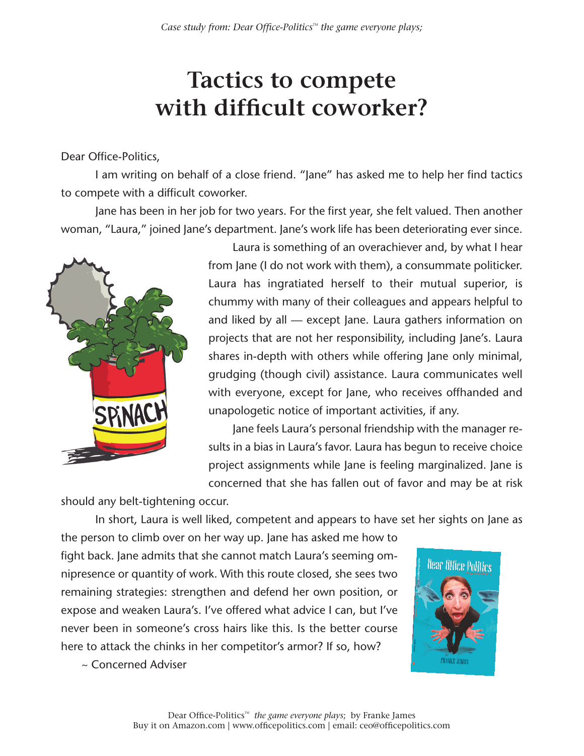# **Tactics to compete with difficult coworker?**

### Dear Office-Politics,

I am writing on behalf of a close friend. "Jane" has asked me to help her find tactics to compete with a difficult coworker.

Jane has been in her job for two years. For the first year, she felt valued. Then another woman, "Laura," joined Jane's department. Jane's work life has been deteriorating ever since.



Laura is something of an overachiever and, by what I hear from Jane (I do not work with them), a consummate politicker. Laura has ingratiated herself to their mutual superior, is chummy with many of their colleagues and appears helpful to and liked by all — except Jane. Laura gathers information on projects that are not her responsibility, including Jane's. Laura shares in-depth with others while offering Jane only minimal, grudging (though civil) assistance. Laura communicates well with everyone, except for Jane, who receives offhanded and unapologetic notice of important activities, if any.

Jane feels Laura's personal friendship with the manager results in a bias in Laura's favor. Laura has begun to receive choice project assignments while Jane is feeling marginalized. Jane is concerned that she has fallen out of favor and may be at risk

should any belt-tightening occur.

In short, Laura is well liked, competent and appears to have set her sights on Jane as

the person to climb over on her way up. Jane has asked me how to fight back. Jane admits that she cannot match Laura's seeming omnipresence or quantity of work. With this route closed, she sees two remaining strategies: strengthen and defend her own position, or expose and weaken Laura's. I've offered what advice I can, but I've never been in someone's cross hairs like this. Is the better course here to attack the chinks in her competitor's armor? If so, how?



~ Concerned Adviser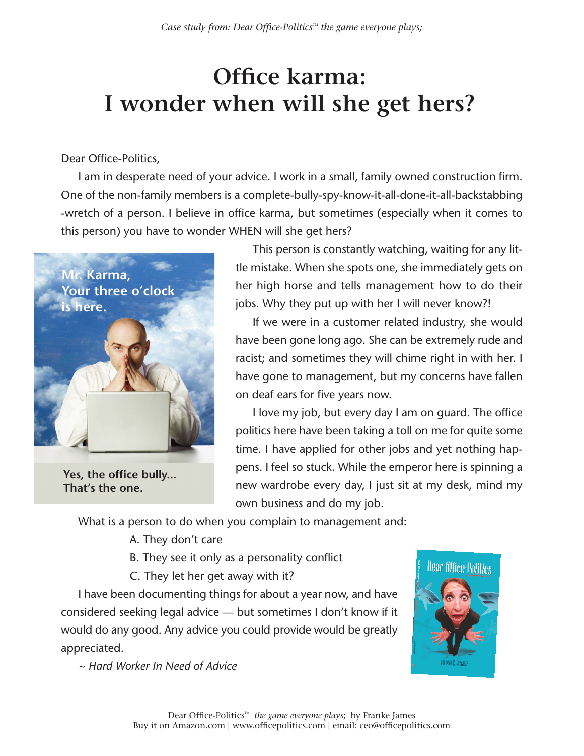# **Office karma: I wonder when will she get hers?**

### Dear Office-Politics,

I am in desperate need of your advice. I work in a small, family owned construction firm. One of the non-family members is a complete-bully-spy-know-it-all-done-it-all-backstabbing -wretch of a person. I believe in office karma, but sometimes (especially when it comes to this person) you have to wonder WHEN will she get hers?



**Yes, the office bully... That's the one.**

This person is constantly watching, waiting for any little mistake. When she spots one, she immediately gets on her high horse and tells management how to do their jobs. Why they put up with her I will never know?!

If we were in a customer related industry, she would have been gone long ago. She can be extremely rude and racist; and sometimes they will chime right in with her. I have gone to management, but my concerns have fallen on deaf ears for five years now.

I love my job, but every day I am on guard. The office politics here have been taking a toll on me for quite some time. I have applied for other jobs and yet nothing happens. I feel so stuck. While the emperor here is spinning a new wardrobe every day, I just sit at my desk, mind my own business and do my job.

What is a person to do when you complain to management and:

- A. They don't care
- B. They see it only as a personality conflict
- C. They let her get away with it?

I have been documenting things for about a year now, and have considered seeking legal advice — but sometimes I don't know if it would do any good. Any advice you could provide would be greatly appreciated.